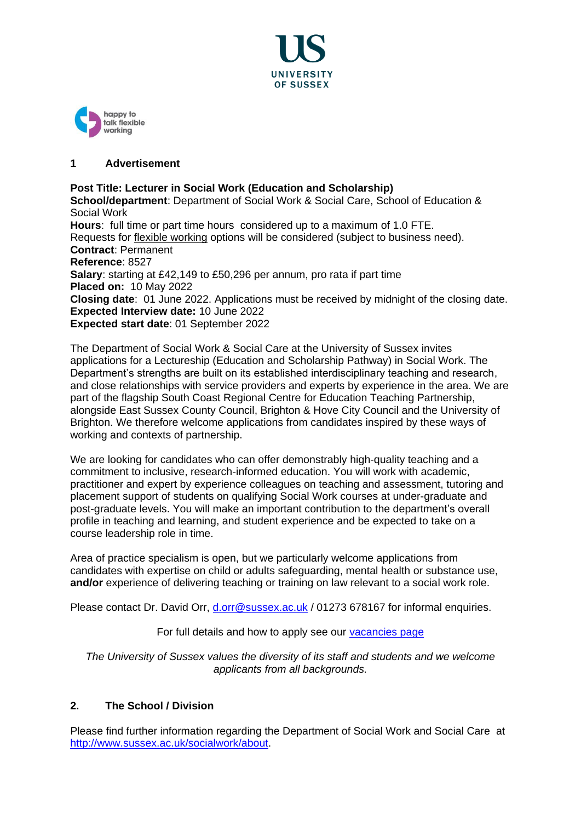



# **1 Advertisement**

## **Post Title: Lecturer in Social Work (Education and Scholarship)**

**School/department**: Department of Social Work & Social Care, School of Education & Social Work

**Hours**: full time or part time hours considered up to a maximum of 1.0 FTE. Requests for [flexible working](http://www.sussex.ac.uk/humanresources/personnel/flexible-working) options will be considered (subject to business need). **Contract**: Permanent **Reference**: 8527 **Salary**: starting at £42,149 to £50,296 per annum, pro rata if part time **Placed on:** 10 May 2022 **Closing date**: 01 June 2022. Applications must be received by midnight of the closing date. **Expected Interview date:** 10 June 2022 **Expected start date**: 01 September 2022

The Department of Social Work & Social Care at the University of Sussex invites applications for a Lectureship (Education and Scholarship Pathway) in Social Work. The Department's strengths are built on its established interdisciplinary teaching and research, and close relationships with service providers and experts by experience in the area. We are part of the flagship South Coast Regional Centre for Education Teaching Partnership, alongside East Sussex County Council, Brighton & Hove City Council and the University of Brighton. We therefore welcome applications from candidates inspired by these ways of working and contexts of partnership.

We are looking for candidates who can offer demonstrably high-quality teaching and a commitment to inclusive, research-informed education. You will work with academic, practitioner and expert by experience colleagues on teaching and assessment, tutoring and placement support of students on qualifying Social Work courses at under-graduate and post-graduate levels. You will make an important contribution to the department's overall profile in teaching and learning, and student experience and be expected to take on a course leadership role in time.

Area of practice specialism is open, but we particularly welcome applications from candidates with expertise on child or adults safeguarding, mental health or substance use, **and/or** experience of delivering teaching or training on law relevant to a social work role.

Please contact Dr. David Orr, [d.orr@sussex.ac.uk](mailto:d.orr@sussex.ac.uk) / 01273 678167 for informal enquiries.

For full details and how to apply see our [vacancies page](http://www.sussex.ac.uk/about/jobs)

*The University of Sussex values the diversity of its staff and students and we welcome applicants from all backgrounds.*

## **2. The School / Division**

Please find further information regarding the Department of Social Work and Social Care at [http://www.sussex.ac.uk/socialwork/about.](http://www.sussex.ac.uk/socialwork/about)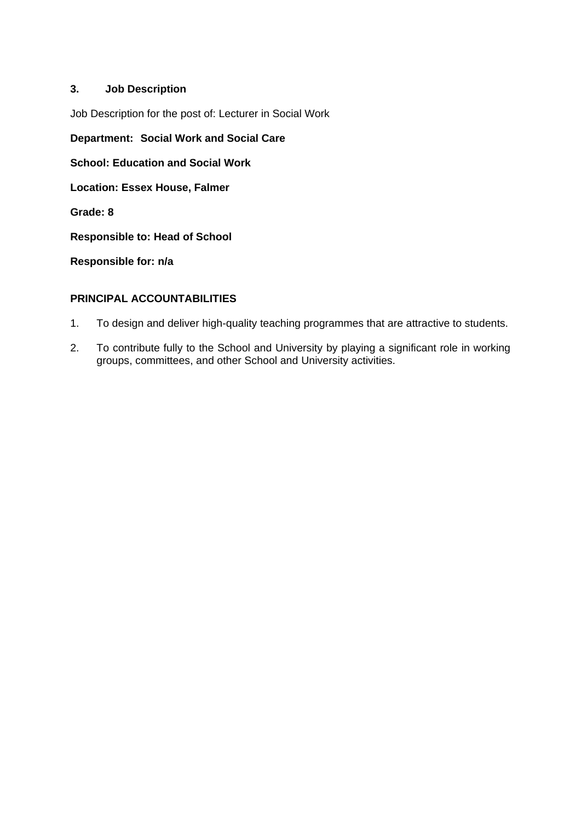# **3. Job Description**

Job Description for the post of: Lecturer in Social Work

**Department: Social Work and Social Care**

**School: Education and Social Work** 

**Location: Essex House, Falmer**

**Grade: 8**

**Responsible to: Head of School** 

**Responsible for: n/a**

# **PRINCIPAL ACCOUNTABILITIES**

- 1. To design and deliver high-quality teaching programmes that are attractive to students.
- 2. To contribute fully to the School and University by playing a significant role in working groups, committees, and other School and University activities.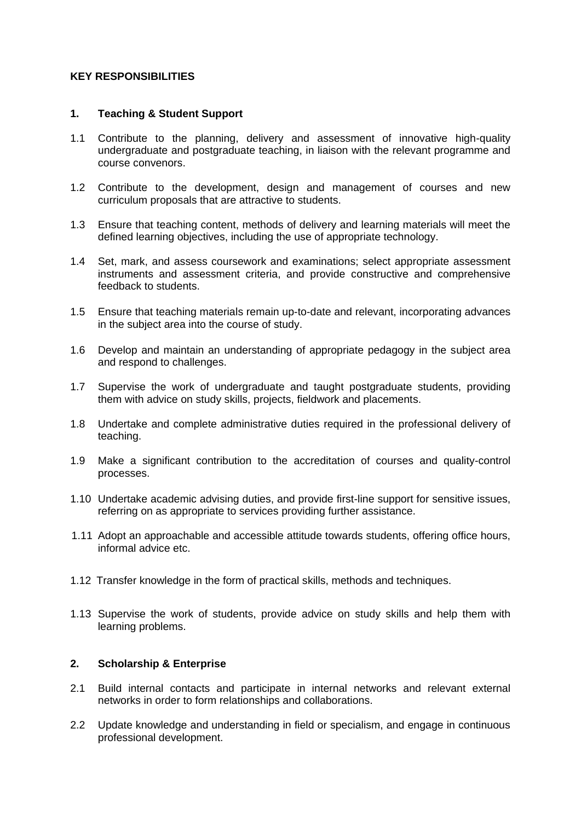#### **KEY RESPONSIBILITIES**

### **1. Teaching & Student Support**

- 1.1 Contribute to the planning, delivery and assessment of innovative high-quality undergraduate and postgraduate teaching, in liaison with the relevant programme and course convenors.
- 1.2 Contribute to the development, design and management of courses and new curriculum proposals that are attractive to students.
- 1.3 Ensure that teaching content, methods of delivery and learning materials will meet the defined learning objectives, including the use of appropriate technology.
- 1.4 Set, mark, and assess coursework and examinations; select appropriate assessment instruments and assessment criteria, and provide constructive and comprehensive feedback to students.
- 1.5 Ensure that teaching materials remain up-to-date and relevant, incorporating advances in the subject area into the course of study.
- 1.6 Develop and maintain an understanding of appropriate pedagogy in the subject area and respond to challenges.
- 1.7 Supervise the work of undergraduate and taught postgraduate students, providing them with advice on study skills, projects, fieldwork and placements.
- 1.8 Undertake and complete administrative duties required in the professional delivery of teaching.
- 1.9 Make a significant contribution to the accreditation of courses and quality-control processes.
- 1.10 Undertake academic advising duties, and provide first-line support for sensitive issues, referring on as appropriate to services providing further assistance.
- 1.11 Adopt an approachable and accessible attitude towards students, offering office hours, informal advice etc.
- 1.12 Transfer knowledge in the form of practical skills, methods and techniques.
- 1.13 Supervise the work of students, provide advice on study skills and help them with learning problems.

## **2. Scholarship & Enterprise**

- 2.1 Build internal contacts and participate in internal networks and relevant external networks in order to form relationships and collaborations.
- 2.2 Update knowledge and understanding in field or specialism, and engage in continuous professional development.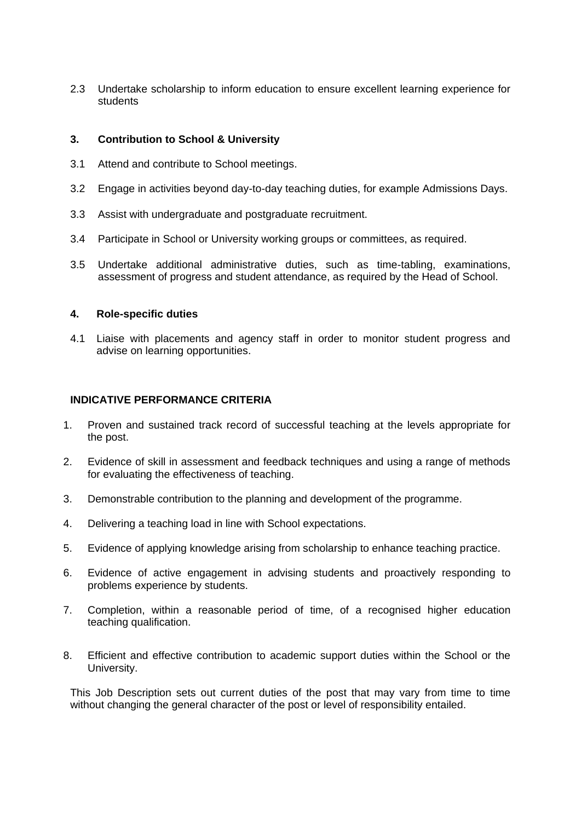2.3 Undertake scholarship to inform education to ensure excellent learning experience for students

### **3. Contribution to School & University**

- 3.1 Attend and contribute to School meetings.
- 3.2 Engage in activities beyond day-to-day teaching duties, for example Admissions Days.
- 3.3 Assist with undergraduate and postgraduate recruitment.
- 3.4 Participate in School or University working groups or committees, as required.
- 3.5 Undertake additional administrative duties, such as time-tabling, examinations, assessment of progress and student attendance, as required by the Head of School.

#### **4. Role-specific duties**

4.1 Liaise with placements and agency staff in order to monitor student progress and advise on learning opportunities.

#### **INDICATIVE PERFORMANCE CRITERIA**

- 1. Proven and sustained track record of successful teaching at the levels appropriate for the post.
- 2. Evidence of skill in assessment and feedback techniques and using a range of methods for evaluating the effectiveness of teaching.
- 3. Demonstrable contribution to the planning and development of the programme.
- 4. Delivering a teaching load in line with School expectations.
- 5. Evidence of applying knowledge arising from scholarship to enhance teaching practice.
- 6. Evidence of active engagement in advising students and proactively responding to problems experience by students.
- 7. Completion, within a reasonable period of time, of a recognised higher education teaching qualification.
- 8. Efficient and effective contribution to academic support duties within the School or the University.

This Job Description sets out current duties of the post that may vary from time to time without changing the general character of the post or level of responsibility entailed.